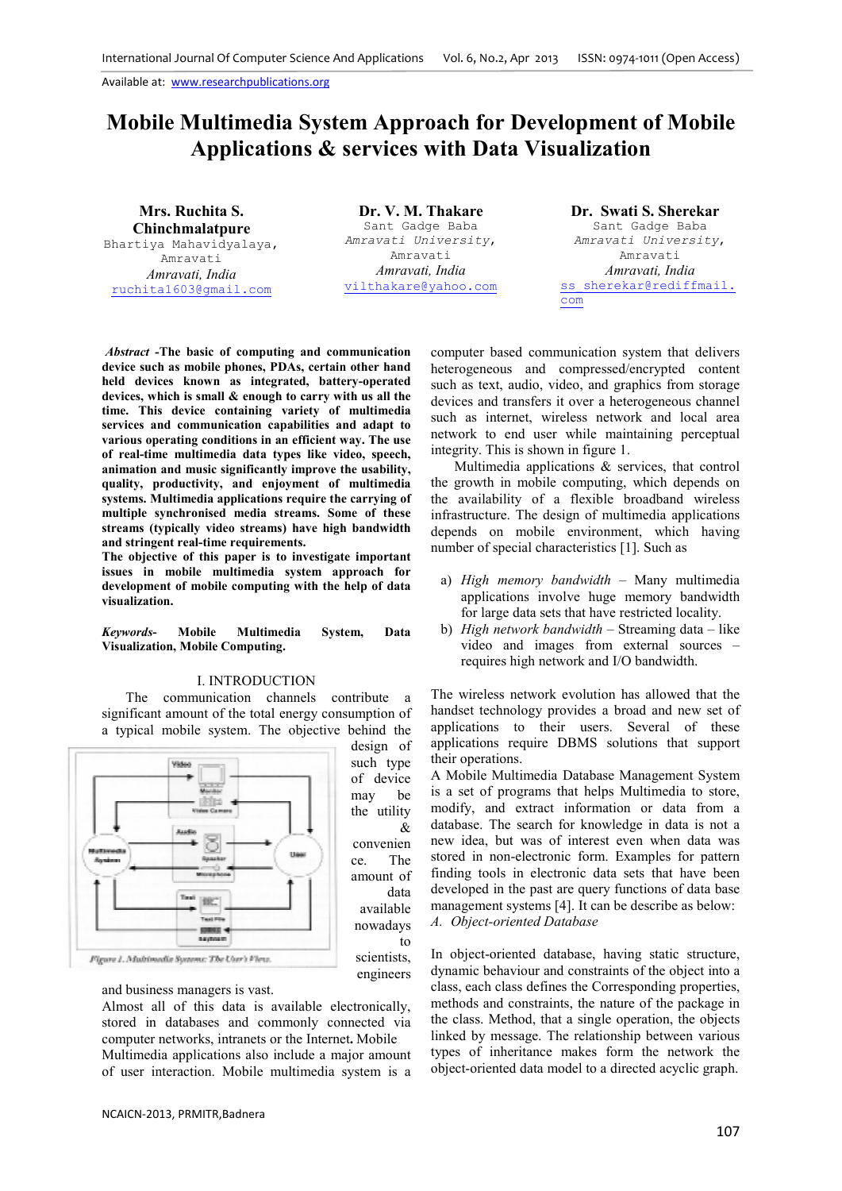# **Mobile Multimedia System Approach for Development of Mobile Applications & services with Data Visualization**

**Mrs. Ruchita S. Chinchmalatpure** Bhartiya Mahavidyalaya, Amravati *Amravati, India* ruchita1603@gmail.com

**Dr. V. M. Thakare**  Sant Gadge Baba *Amravati University*, Amravati *Amravati, India*  vilthakare@yahoo.com

&

data

to

**Dr. Swati S. Sherekar** Sant Gadge Baba *Amravati University*, Amravati *Amravati, India*  ss sherekar@rediffmail. com

*Abstract -***The basic of computing and communication device such as mobile phones, PDAs, certain other hand held devices known as integrated, battery-operated devices, which is small & enough to carry with us all the time. This device containing variety of multimedia services and communication capabilities and adapt to various operating conditions in an efficient way. The use of real-time multimedia data types like video, speech, animation and music significantly improve the usability, quality, productivity, and enjoyment of multimedia systems. Multimedia applications require the carrying of multiple synchronised media streams. Some of these streams (typically video streams) have high bandwidth and stringent real-time requirements.** 

**The objective of this paper is to investigate important issues in mobile multimedia system approach for development of mobile computing with the help of data visualization.** 

*Keywords***- Mobile Multimedia System, Data Visualization, Mobile Computing.** 

#### I. INTRODUCTION

The communication channels contribute a significant amount of the total energy consumption of a typical mobile system. The objective behind the



and business managers is vast.

Almost all of this data is available electronically, stored in databases and commonly connected via computer networks, intranets or the Internet**.** Mobile Multimedia applications also include a major amount of user interaction. Mobile multimedia system is a computer based communication system that delivers heterogeneous and compressed/encrypted content such as text, audio, video, and graphics from storage devices and transfers it over a heterogeneous channel such as internet, wireless network and local area network to end user while maintaining perceptual integrity. This is shown in figure 1.

 Multimedia applications & services, that control the growth in mobile computing, which depends on the availability of a flexible broadband wireless infrastructure. The design of multimedia applications depends on mobile environment, which having number of special characteristics [1]. Such as

- a) *High memory bandwidth*  Many multimedia applications involve huge memory bandwidth for large data sets that have restricted locality.
- b) *High network bandwidth*  Streaming data like video and images from external sources – requires high network and I/O bandwidth.

The wireless network evolution has allowed that the handset technology provides a broad and new set of applications to their users. Several of these applications require DBMS solutions that support their operations.

A Mobile Multimedia Database Management System is a set of programs that helps Multimedia to store, modify, and extract information or data from a database. The search for knowledge in data is not a new idea, but was of interest even when data was stored in non-electronic form. Examples for pattern finding tools in electronic data sets that have been developed in the past are query functions of data base management systems [4]. It can be describe as below: *A. Object-oriented Database* 

In object-oriented database, having static structure, dynamic behaviour and constraints of the object into a class, each class defines the Corresponding properties, methods and constraints, the nature of the package in the class. Method, that a single operation, the objects linked by message. The relationship between various types of inheritance makes form the network the object-oriented data model to a directed acyclic graph.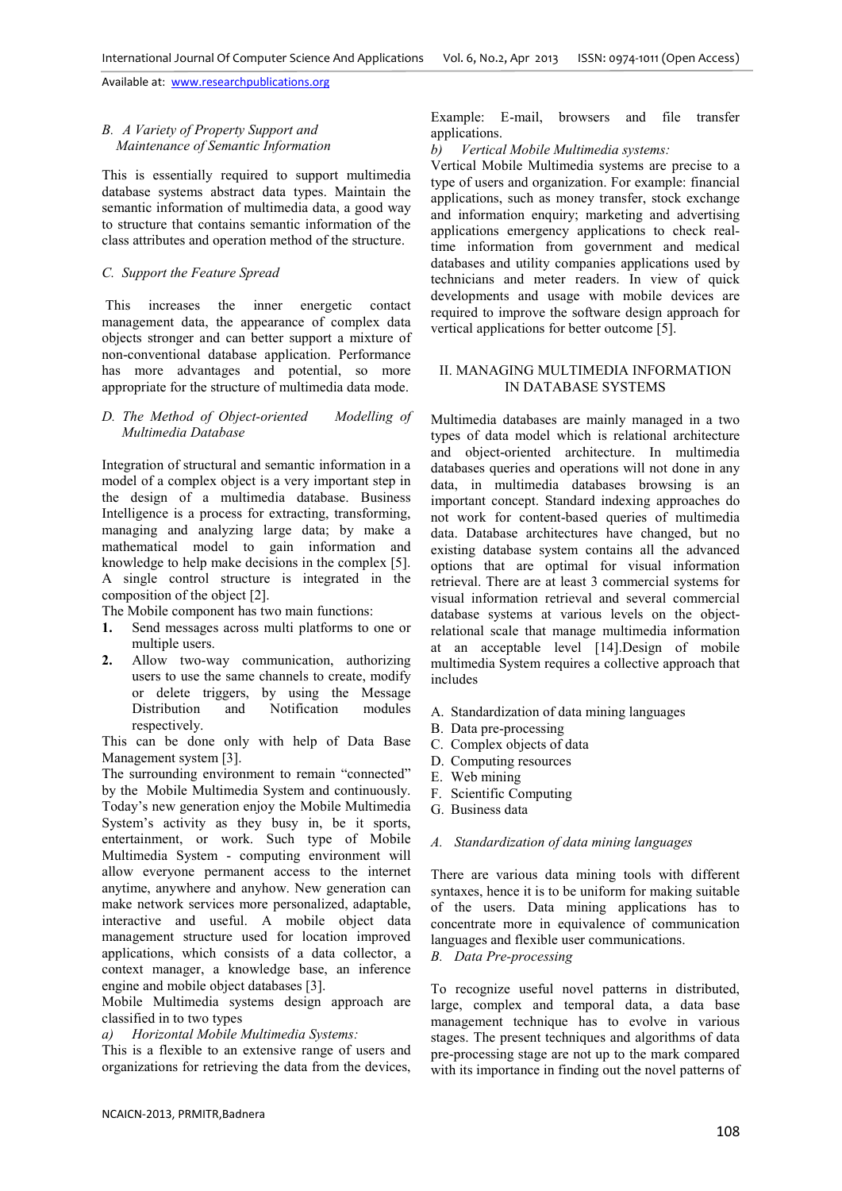## *B. A Variety of Property Support and Maintenance of Semantic Information*

This is essentially required to support multimedia database systems abstract data types. Maintain the semantic information of multimedia data, a good way to structure that contains semantic information of the class attributes and operation method of the structure.

## *C. Support the Feature Spread*

 This increases the inner energetic contact management data, the appearance of complex data objects stronger and can better support a mixture of non-conventional database application. Performance has more advantages and potential, so more appropriate for the structure of multimedia data mode.

#### *D. The Method of Object-oriented Modelling of Multimedia Database*

Integration of structural and semantic information in a model of a complex object is a very important step in the design of a multimedia database. Business Intelligence is a process for extracting, transforming, managing and analyzing large data; by make a mathematical model to gain information and knowledge to help make decisions in the complex [5]. A single control structure is integrated in the composition of the object [2].

The Mobile component has two main functions:

- **1.** Send messages across multi platforms to one or multiple users.
- **2.** Allow two-way communication, authorizing users to use the same channels to create, modify or delete triggers, by using the Message Distribution and Notification modules respectively.

This can be done only with help of Data Base Management system [3].

The surrounding environment to remain "connected" by the Mobile Multimedia System and continuously. Today's new generation enjoy the Mobile Multimedia System's activity as they busy in, be it sports, entertainment, or work. Such type of Mobile Multimedia System - computing environment will allow everyone permanent access to the internet anytime, anywhere and anyhow. New generation can make network services more personalized, adaptable, interactive and useful. A mobile object data management structure used for location improved applications, which consists of a data collector, a context manager, a knowledge base, an inference engine and mobile object databases [3].

Mobile Multimedia systems design approach are classified in to two types

*a) Horizontal Mobile Multimedia Systems:* 

This is a flexible to an extensive range of users and organizations for retrieving the data from the devices,

Example: E-mail, browsers and file transfer applications.

*b) Vertical Mobile Multimedia systems:* 

Vertical Mobile Multimedia systems are precise to a type of users and organization. For example: financial applications, such as money transfer, stock exchange and information enquiry; marketing and advertising applications emergency applications to check realtime information from government and medical databases and utility companies applications used by technicians and meter readers. In view of quick developments and usage with mobile devices are required to improve the software design approach for vertical applications for better outcome [5].

## II. MANAGING MULTIMEDIA INFORMATION IN DATABASE SYSTEMS

Multimedia databases are mainly managed in a two types of data model which is relational architecture and object-oriented architecture. In multimedia databases queries and operations will not done in any data, in multimedia databases browsing is an important concept. Standard indexing approaches do not work for content-based queries of multimedia data. Database architectures have changed, but no existing database system contains all the advanced options that are optimal for visual information retrieval. There are at least 3 commercial systems for visual information retrieval and several commercial database systems at various levels on the objectrelational scale that manage multimedia information at an acceptable level [14].Design of mobile multimedia System requires a collective approach that includes

- A. Standardization of data mining languages
- B. Data pre-processing
- C. Complex objects of data
- D. Computing resources
- E. Web mining
- F. Scientific Computing
- G. Business data

#### *A. Standardization of data mining languages*

There are various data mining tools with different syntaxes, hence it is to be uniform for making suitable of the users. Data mining applications has to concentrate more in equivalence of communication languages and flexible user communications.

*B. Data Pre-processing* 

To recognize useful novel patterns in distributed, large, complex and temporal data, a data base management technique has to evolve in various stages. The present techniques and algorithms of data pre-processing stage are not up to the mark compared with its importance in finding out the novel patterns of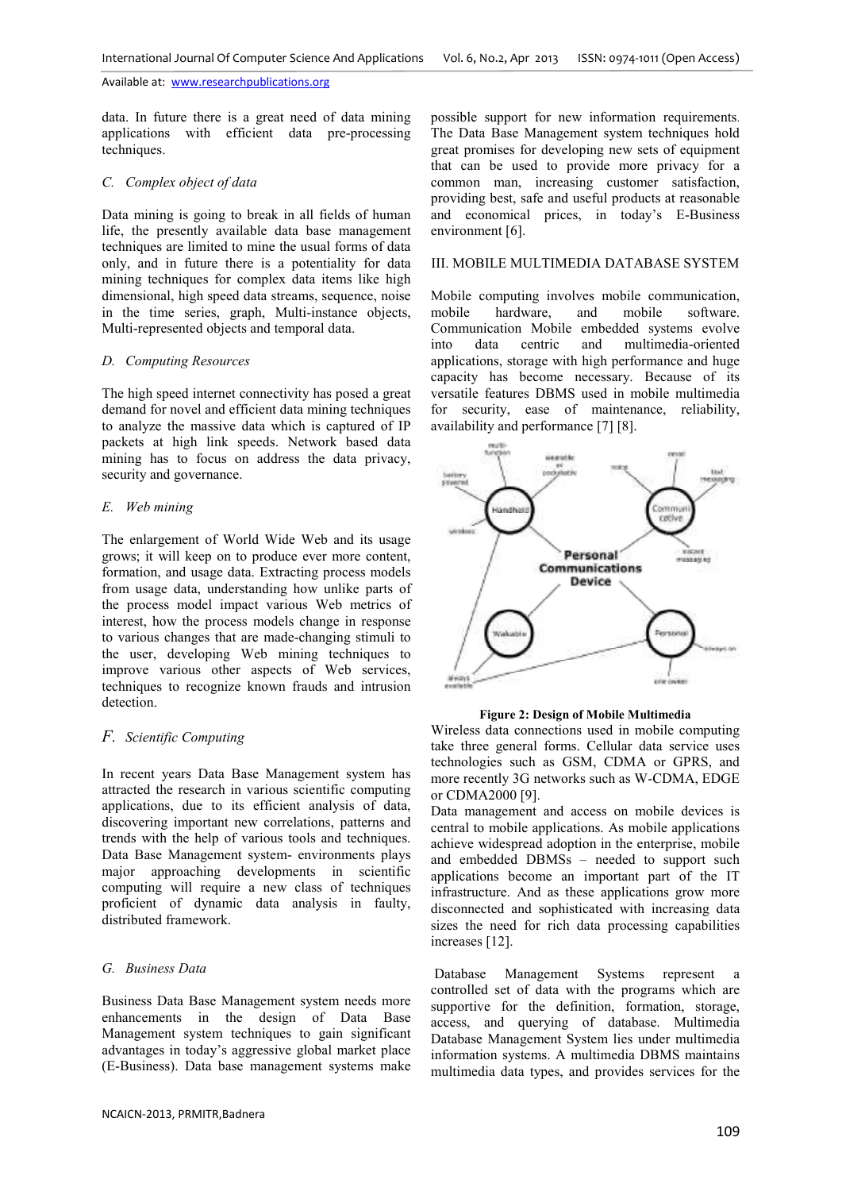data. In future there is a great need of data mining applications with efficient data pre-processing techniques.

## *C. Complex object of data*

Data mining is going to break in all fields of human life, the presently available data base management techniques are limited to mine the usual forms of data only, and in future there is a potentiality for data mining techniques for complex data items like high dimensional, high speed data streams, sequence, noise in the time series, graph, Multi-instance objects, Multi-represented objects and temporal data.

#### *D. Computing Resources*

The high speed internet connectivity has posed a great demand for novel and efficient data mining techniques to analyze the massive data which is captured of IP packets at high link speeds. Network based data mining has to focus on address the data privacy, security and governance.

#### *E. Web mining*

The enlargement of World Wide Web and its usage grows; it will keep on to produce ever more content, formation, and usage data. Extracting process models from usage data, understanding how unlike parts of the process model impact various Web metrics of interest, how the process models change in response to various changes that are made-changing stimuli to the user, developing Web mining techniques to improve various other aspects of Web services, techniques to recognize known frauds and intrusion detection.

## *F. Scientific Computing*

In recent years Data Base Management system has attracted the research in various scientific computing applications, due to its efficient analysis of data, discovering important new correlations, patterns and trends with the help of various tools and techniques. Data Base Management system- environments plays major approaching developments in scientific computing will require a new class of techniques proficient of dynamic data analysis in faulty, distributed framework.

# *G. Business Data*

Business Data Base Management system needs more enhancements in the design of Data Base Management system techniques to gain significant advantages in today's aggressive global market place (E-Business). Data base management systems make

possible support for new information requirements. The Data Base Management system techniques hold great promises for developing new sets of equipment that can be used to provide more privacy for a common man, increasing customer satisfaction, providing best, safe and useful products at reasonable and economical prices, in today's E-Business environment [6].

#### III. MOBILE MULTIMEDIA DATABASE SYSTEM

Mobile computing involves mobile communication, mobile hardware, and mobile software. Communication Mobile embedded systems evolve into data centric and multimedia-oriented applications, storage with high performance and huge capacity has become necessary. Because of its versatile features DBMS used in mobile multimedia for security, ease of maintenance, reliability, availability and performance [7] [8].



#### **Figure 2: Design of Mobile Multimedia**

Wireless data connections used in mobile computing take three general forms. Cellular data service uses technologies such as GSM, CDMA or GPRS, and more recently 3G networks such as W-CDMA, EDGE or CDMA2000 [9].

Data management and access on mobile devices is central to mobile applications. As mobile applications achieve widespread adoption in the enterprise, mobile and embedded DBMSs – needed to support such applications become an important part of the IT infrastructure. And as these applications grow more disconnected and sophisticated with increasing data sizes the need for rich data processing capabilities increases [12].

 Database Management Systems represent a controlled set of data with the programs which are supportive for the definition, formation, storage, access, and querying of database. Multimedia Database Management System lies under multimedia information systems. A multimedia DBMS maintains multimedia data types, and provides services for the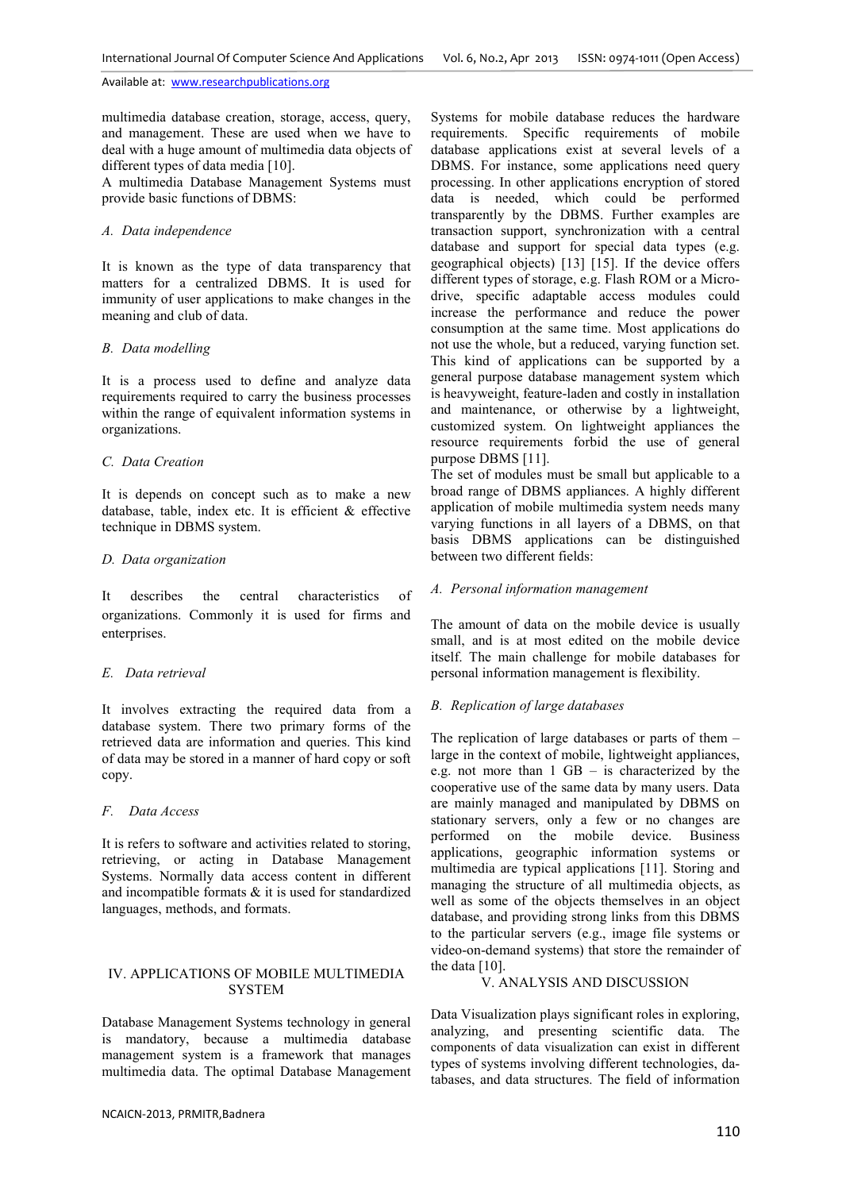multimedia database creation, storage, access, query, and management. These are used when we have to deal with a huge amount of multimedia data objects of different types of data media [10].

A multimedia Database Management Systems must provide basic functions of DBMS:

#### *A. Data independence*

It is known as the type of data transparency that matters for a centralized DBMS. It is used for immunity of user applications to make changes in the meaning and club of data.

# *B. Data modelling*

It is a process used to define and analyze data requirements required to carry the business processes within the range of equivalent information systems in organizations.

## *C. Data Creation*

It is depends on concept such as to make a new database, table, index etc. It is efficient & effective technique in DBMS system.

# *D. Data organization*

It describes the central characteristics of organizations. Commonly it is used for firms and enterprises.

# *E. Data retrieval*

It involves extracting the required data from a database system. There two primary forms of the retrieved data are information and queries. This kind of data may be stored in a manner of hard copy or soft copy.

# *F.**Data Access*

It is refers to software and activities related to storing, retrieving, or acting in Database Management Systems. Normally data access content in different and incompatible formats & it is used for standardized languages, methods, and formats.

# IV. APPLICATIONS OF MOBILE MULTIMEDIA **SYSTEM**

Database Management Systems technology in general is mandatory, because a multimedia database management system is a framework that manages multimedia data. The optimal Database Management

Systems for mobile database reduces the hardware requirements. Specific requirements of mobile database applications exist at several levels of a DBMS. For instance, some applications need query processing. In other applications encryption of stored data is needed, which could be performed transparently by the DBMS. Further examples are transaction support, synchronization with a central database and support for special data types (e.g. geographical objects) [13] [15]. If the device offers different types of storage, e.g. Flash ROM or a Microdrive, specific adaptable access modules could increase the performance and reduce the power consumption at the same time. Most applications do not use the whole, but a reduced, varying function set. This kind of applications can be supported by a general purpose database management system which is heavyweight, feature-laden and costly in installation and maintenance, or otherwise by a lightweight, customized system. On lightweight appliances the resource requirements forbid the use of general purpose DBMS [11].

The set of modules must be small but applicable to a broad range of DBMS appliances. A highly different application of mobile multimedia system needs many varying functions in all layers of a DBMS, on that basis DBMS applications can be distinguished between two different fields:

## *A. Personal information management*

The amount of data on the mobile device is usually small, and is at most edited on the mobile device itself. The main challenge for mobile databases for personal information management is flexibility.

# *B. Replication of large databases*

The replication of large databases or parts of them – large in the context of mobile, lightweight appliances, e.g. not more than 1 GB – is characterized by the cooperative use of the same data by many users. Data are mainly managed and manipulated by DBMS on stationary servers, only a few or no changes are performed on the mobile device. Business applications, geographic information systems or multimedia are typical applications [11]. Storing and managing the structure of all multimedia objects, as well as some of the objects themselves in an object database, and providing strong links from this DBMS to the particular servers (e.g., image file systems or video-on-demand systems) that store the remainder of the data [10].

# V. ANALYSIS AND DISCUSSION

Data Visualization plays significant roles in exploring, analyzing, and presenting scientific data. The components of data visualization can exist in different types of systems involving different technologies, databases, and data structures. The field of information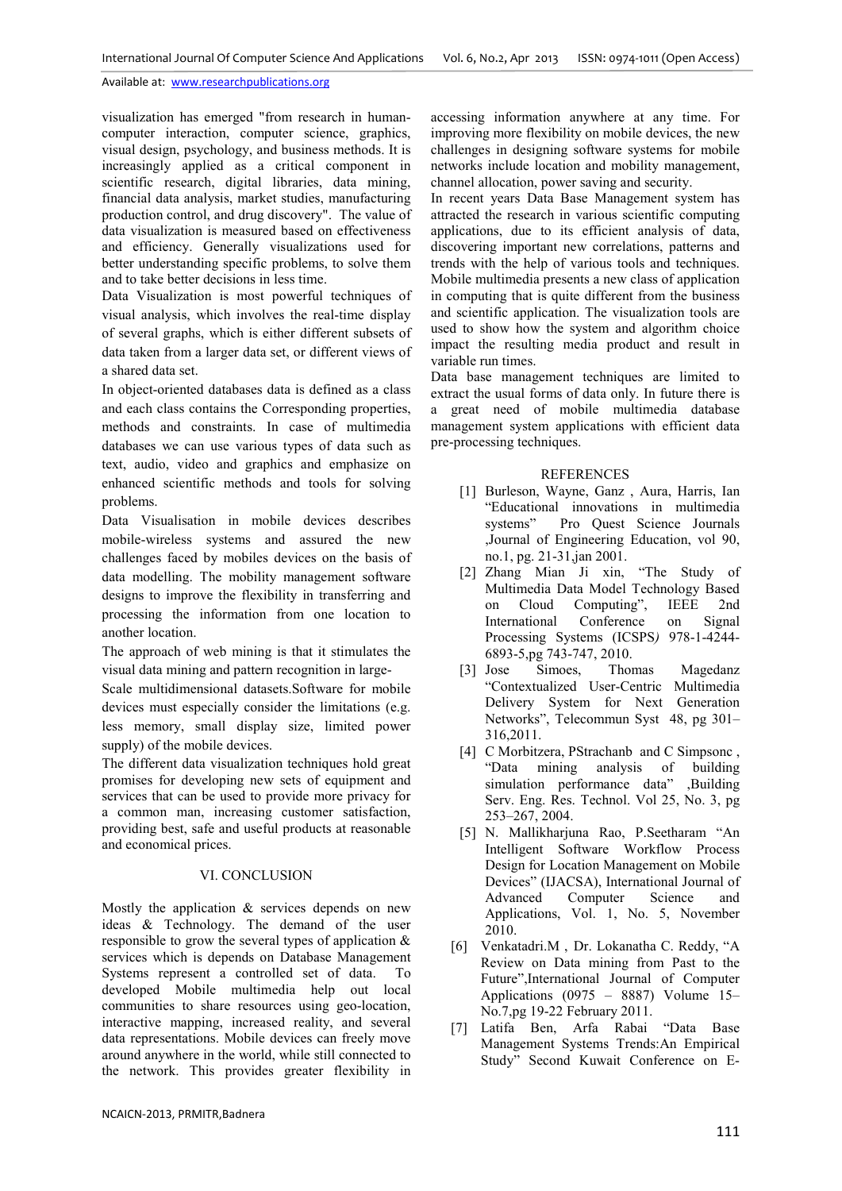visualization has emerged "from research in humancomputer interaction, computer science, graphics, visual design, psychology, and business methods. It is increasingly applied as a critical component in scientific research, digital libraries, data mining, financial data analysis, market studies, manufacturing production control, and drug discovery". The value of data visualization is measured based on effectiveness and efficiency. Generally visualizations used for better understanding specific problems, to solve them and to take better decisions in less time.

Data Visualization is most powerful techniques of visual analysis, which involves the real-time display of several graphs, which is either different subsets of data taken from a larger data set, or different views of a shared data set.

In object-oriented databases data is defined as a class and each class contains the Corresponding properties, methods and constraints. In case of multimedia databases we can use various types of data such as text, audio, video and graphics and emphasize on enhanced scientific methods and tools for solving problems.

Data Visualisation in mobile devices describes mobile-wireless systems and assured the new challenges faced by mobiles devices on the basis of data modelling. The mobility management software designs to improve the flexibility in transferring and processing the information from one location to another location.

The approach of web mining is that it stimulates the visual data mining and pattern recognition in large-

Scale multidimensional datasets.Software for mobile devices must especially consider the limitations (e.g. less memory, small display size, limited power supply) of the mobile devices.

The different data visualization techniques hold great promises for developing new sets of equipment and services that can be used to provide more privacy for a common man, increasing customer satisfaction, providing best, safe and useful products at reasonable and economical prices.

#### VI. CONCLUSION

Mostly the application  $\&$  services depends on new ideas & Technology. The demand of the user responsible to grow the several types of application  $\&$ services which is depends on Database Management Systems represent a controlled set of data. To developed Mobile multimedia help out local communities to share resources using geo-location, interactive mapping, increased reality, and several data representations. Mobile devices can freely move around anywhere in the world, while still connected to the network. This provides greater flexibility in

In recent years Data Base Management system has attracted the research in various scientific computing applications, due to its efficient analysis of data, discovering important new correlations, patterns and trends with the help of various tools and techniques. Mobile multimedia presents a new class of application in computing that is quite different from the business and scientific application. The visualization tools are used to show how the system and algorithm choice impact the resulting media product and result in variable run times.

Data base management techniques are limited to extract the usual forms of data only. In future there is a great need of mobile multimedia database management system applications with efficient data pre-processing techniques.

## REFERENCES

- [1] Burleson, Wayne, Ganz , Aura, Harris, Ian "Educational innovations in multimedia Pro Ouest Science Journals ,Journal of Engineering Education, vol 90, no.1, pg. 21-31,jan 2001.
- [2] Zhang Mian Ji xin, "The Study of Multimedia Data Model Technology Based<br>on Cloud Computing". IEEE 2nd on Cloud Computing", IEEE 2nd International Conference on Signal Processing Systems (ICSPS*)* 978-1-4244- 6893-5,pg 743-747, 2010.
- [3] Jose Simoes, Thomas Magedanz "Contextualized User-Centric Multimedia Delivery System for Next Generation Networks", Telecommun Syst 48, pg 301– 316,2011.
- [4] C Morbitzera, PStrachanb and C Simpsonc, "Data mining analysis of building simulation performance data" ,Building Serv. Eng. Res. Technol. Vol 25, No. 3, pg 253–267, 2004.
- [5] N. Mallikharjuna Rao, P.Seetharam "An Intelligent Software Workflow Process Design for Location Management on Mobile Devices" (IJACSA), International Journal of Advanced Computer Science and Applications, Vol. 1, No. 5, November 2010.
- [6] Venkatadri.M , Dr. Lokanatha C. Reddy, "A Review on Data mining from Past to the Future",International Journal of Computer Applications (0975 – 8887) Volume 15– No.7,pg 19-22 February 2011.
- [7] Latifa Ben, Arfa Rabai "Data Base Management Systems Trends:An Empirical Study" Second Kuwait Conference on E-